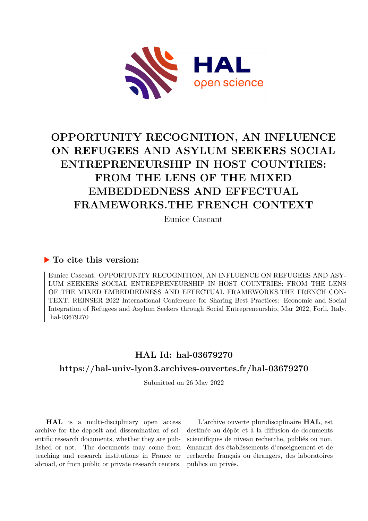

## **OPPORTUNITY RECOGNITION, AN INFLUENCE ON REFUGEES AND ASYLUM SEEKERS SOCIAL ENTREPRENEURSHIP IN HOST COUNTRIES: FROM THE LENS OF THE MIXED EMBEDDEDNESS AND EFFECTUAL FRAMEWORKS.THE FRENCH CONTEXT**

Eunice Cascant

## **To cite this version:**

Eunice Cascant. OPPORTUNITY RECOGNITION, AN INFLUENCE ON REFUGEES AND ASY-LUM SEEKERS SOCIAL ENTREPRENEURSHIP IN HOST COUNTRIES: FROM THE LENS OF THE MIXED EMBEDDEDNESS AND EFFECTUAL FRAMEWORKS.THE FRENCH CON-TEXT. REINSER 2022 International Conference for Sharing Best Practices: Economic and Social Integration of Refugees and Asylum Seekers through Social Entrepreneurship, Mar 2022, Forli, Italy. hal-03679270

## **HAL Id: hal-03679270**

### **<https://hal-univ-lyon3.archives-ouvertes.fr/hal-03679270>**

Submitted on 26 May 2022

**HAL** is a multi-disciplinary open access archive for the deposit and dissemination of scientific research documents, whether they are published or not. The documents may come from teaching and research institutions in France or abroad, or from public or private research centers.

L'archive ouverte pluridisciplinaire **HAL**, est destinée au dépôt et à la diffusion de documents scientifiques de niveau recherche, publiés ou non, émanant des établissements d'enseignement et de recherche français ou étrangers, des laboratoires publics ou privés.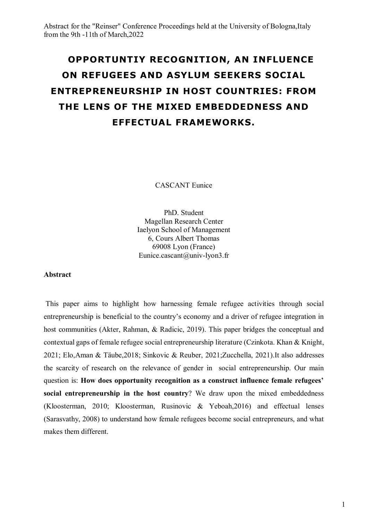# **OPPORTUNTIY RECOGNITION, AN INFLUENCE ON REFUGEES AND ASYLUM SEEKERS SOCIAL ENTREPRENEURSHIP IN HOST COUNTRIES: FROM THE LENS OF THE MIXED EMBEDDEDNESS AND EFFECTUAL FRAMEWORKS.**

CASCANT Eunice

PhD. Student Magellan Research Center Iaelyon School of Management 6, Cours Albert Thomas 69008 Lyon (France) Eunice.cascant@univ-lyon3.fr

#### **Abstract**

This paper aims to highlight how harnessing female refugee activities through social entrepreneurship is beneficial to the country's economy and a driver of refugee integration in host communities (Akter, Rahman, & Radicic, 2019). This paper bridges the conceptual and contextual gaps of female refugee social entrepreneurship literature (Czinkota. Khan & Knight, 2021; Elo,Aman & Täube,2018; Sinkovic & Reuber, 2021;Zucchella, 2021).It also addresses the scarcity of research on the relevance of gender in social entrepreneurship. Our main question is: **How does opportunity recognition as a construct influence female refugees' social entrepreneurship in the host country**? We draw upon the mixed embeddedness (Kloosterman, 2010; Kloosterman, Rusinovic & Yeboah,2016) and effectual lenses (Sarasvathy, 2008) to understand how female refugees become social entrepreneurs, and what makes them different.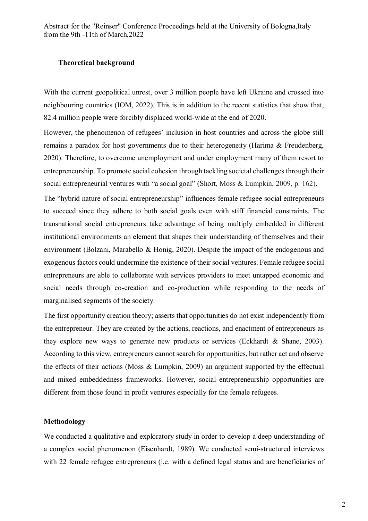#### **Theoretical background**

With the current geopolitical unrest, over 3 million people have left Ukraine and crossed into neighbouring countries (IOM, 2022). This is in addition to the recent statistics that show that, 82.4 million people were forcibly displaced world-wide at the end of 2020.

However, the phenomenon of refugees' inclusion in host countries and across the globe still remains a paradox for host governments due to their heterogeneity (Harima & Freudenberg, 2020). Therefore, to overcome unemployment and under employment many of them resort to entrepreneurship. To promote social cohesion through tackling societal challenges through their social entrepreneurial ventures with "a social goal" (Short, Moss & Lumpkin, 2009, p. 162).

The "hybrid nature of social entrepreneurship" influences female refugee social entrepreneurs to succeed since they adhere to both social goals even with stiff financial constraints. The transnational social entrepreneurs take advantage of being multiply embedded in different institutional environments an element that shapes their understanding of themselves and their environment (Bolzani, Marabello & Honig, 2020). Despite the impact of the endogenous and exogenous factors could undermine the existence of their social ventures. Female refugee social entrepreneurs are able to collaborate with services providers to meet untapped economic and social needs through co-creation and co-production while responding to the needs of marginalised segments of the society.

The first opportunity creation theory; asserts that opportunities do not exist independently from the entrepreneur. They are created by the actions, reactions, and enactment of entrepreneurs as they explore new ways to generate new products or services (Eckhardt & Shane, 2003). According to this view, entrepreneurs cannot search for opportunities, but rather act and observe the effects of their actions (Moss & Lumpkin, 2009) an argument supported by the effectual and mixed embeddedness frameworks. However, social entrepreneurship opportunities are different from those found in profit ventures especially for the female refugees.

#### **Methodology**

We conducted a qualitative and exploratory study in order to develop a deep understanding of a complex social phenomenon (Eisenhardt, 1989). We conducted semi-structured interviews with 22 female refugee entrepreneurs (i.e. with a defined legal status and are beneficiaries of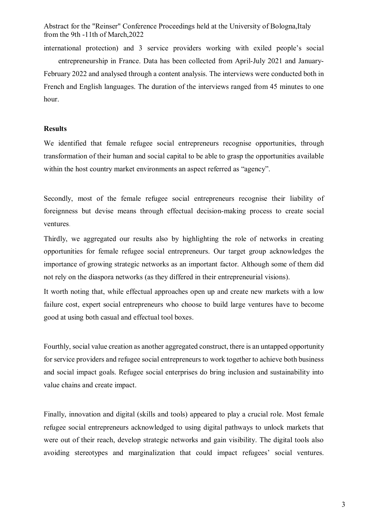international protection) and 3 service providers working with exiled people's social entrepreneurship in France. Data has been collected from April-July 2021 and January-February 2022 and analysed through a content analysis. The interviews were conducted both in French and English languages. The duration of the interviews ranged from 45 minutes to one hour.

#### **Results**

We identified that female refugee social entrepreneurs recognise opportunities, through transformation of their human and social capital to be able to grasp the opportunities available within the host country market environments an aspect referred as "agency".

Secondly, most of the female refugee social entrepreneurs recognise their liability of foreignness but devise means through effectual decision-making process to create social ventures.

Thirdly, we aggregated our results also by highlighting the role of networks in creating opportunities for female refugee social entrepreneurs. Our target group acknowledges the importance of growing strategic networks as an important factor. Although some of them did not rely on the diaspora networks (as they differed in their entrepreneurial visions).

It worth noting that, while effectual approaches open up and create new markets with a low failure cost, expert social entrepreneurs who choose to build large ventures have to become good at using both casual and effectual tool boxes.

Fourthly, social value creation as another aggregated construct, there is an untapped opportunity for service providers and refugee social entrepreneurs to work together to achieve both business and social impact goals. Refugee social enterprises do bring inclusion and sustainability into value chains and create impact.

Finally, innovation and digital (skills and tools) appeared to play a crucial role. Most female refugee social entrepreneurs acknowledged to using digital pathways to unlock markets that were out of their reach, develop strategic networks and gain visibility. The digital tools also avoiding stereotypes and marginalization that could impact refugees' social ventures.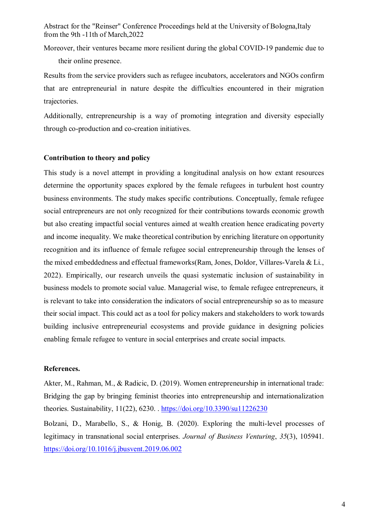Moreover, their ventures became more resilient during the global COVID-19 pandemic due to their online presence.

Results from the service providers such as refugee incubators, accelerators and NGOs confirm that are entrepreneurial in nature despite the difficulties encountered in their migration trajectories.

Additionally, entrepreneurship is a way of promoting integration and diversity especially through co-production and co-creation initiatives.

#### **Contribution to theory and policy**

This study is a novel attempt in providing a longitudinal analysis on how extant resources determine the opportunity spaces explored by the female refugees in turbulent host country business environments. The study makes specific contributions. Conceptually, female refugee social entrepreneurs are not only recognized for their contributions towards economic growth but also creating impactful social ventures aimed at wealth creation hence eradicating poverty and income inequality. We make theoretical contribution by enriching literature on opportunity recognition and its influence of female refugee social entrepreneurship through the lenses of the mixed embeddedness and effectual frameworks(Ram, Jones, Doldor, Villares-Varela & Li., 2022). Empirically, our research unveils the quasi systematic inclusion of sustainability in business models to promote social value. Managerial wise, to female refugee entrepreneurs, it is relevant to take into consideration the indicators of social entrepreneurship so as to measure their social impact. This could act as a tool for policy makers and stakeholders to work towards building inclusive entrepreneurial ecosystems and provide guidance in designing policies enabling female refugee to venture in social enterprises and create social impacts.

#### **References.**

Akter, M., Rahman, M., & Radicic, D. (2019). Women entrepreneurship in international trade: Bridging the gap by bringing feminist theories into entrepreneurship and internationalization theories. Sustainability, 11(22), 6230. . https://doi.org/10.3390/su11226230

Bolzani, D., Marabello, S., & Honig, B. (2020). Exploring the multi-level processes of legitimacy in transnational social enterprises. *Journal of Business Venturing*, *35*(3), 105941. https://doi.org/10.1016/j.jbusvent.2019.06.002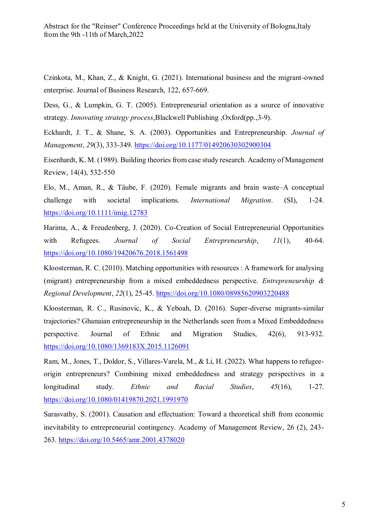Czinkota, M., Khan, Z., & Knight, G. (2021). International business and the migrant-owned enterprise. Journal of Business Research, 122, 657-669.

Dess, G., & Lumpkin, G. T. (2005). Entrepreneurial orientation as a source of innovative strategy. *Innovating strategy process*,Blackwell Publishing ,Oxford(pp.,3-9).

Eckhardt, J. T., & Shane, S. A. (2003). Opportunities and Entrepreneurship. *Journal of Management*, *29*(3), 333-349. https://doi.org/10.1177/014920630302900304

Eisenhardt, K. M. (1989). Building theories from case study research. Academy of Management Review, 14(4), 532-550

Elo, M., Aman, R., & Täube, F. (2020). Female migrants and brain waste–A conceptual challenge with societal implications. *International Migration*. (SI), 1-24. https://doi.org/10.1111/imig.12783

Harima, A., & Freudenberg, J. (2020). Co-Creation of Social Entrepreneurial Opportunities with Refugees. *Journal of Social Entrepreneurship*, *11*(1), 40-64. https://doi.org/10.1080/19420676.2018.1561498

Kloosterman, R. C. (2010). Matching opportunities with resources : A framework for analysing (migrant) entrepreneurship from a mixed embeddedness perspective. *Entrepreneurship & Regional Development*, *22*(1), 25-45. https://doi.org/10.1080/08985620903220488

Kloosterman, R. C., Rusinovic, K., & Yeboah, D. (2016). Super-diverse migrants-similar trajectories? Ghanaian entrepreneurship in the Netherlands seen from a Mixed Embeddedness perspective. Journal of Ethnic and Migration Studies, 42(6), 913-932. https://doi.org/10.1080/1369183X.2015.1126091

Ram, M., Jones, T., Doldor, S., Villares-Varela, M., & Li, H. (2022). What happens to refugeeorigin entrepreneurs? Combining mixed embeddedness and strategy perspectives in a longitudinal study. *Ethnic and Racial Studies*, *45*(16), 1-27. https://doi.org/10.1080/01419870.2021.1991970

Sarasvathy, S. (2001). Causation and effectuation: Toward a theoretical shift from economic inevitability to entrepreneurial contingency. Academy of Management Review, 26 (2), 243- 263. https://doi.org/10.5465/amr.2001.4378020